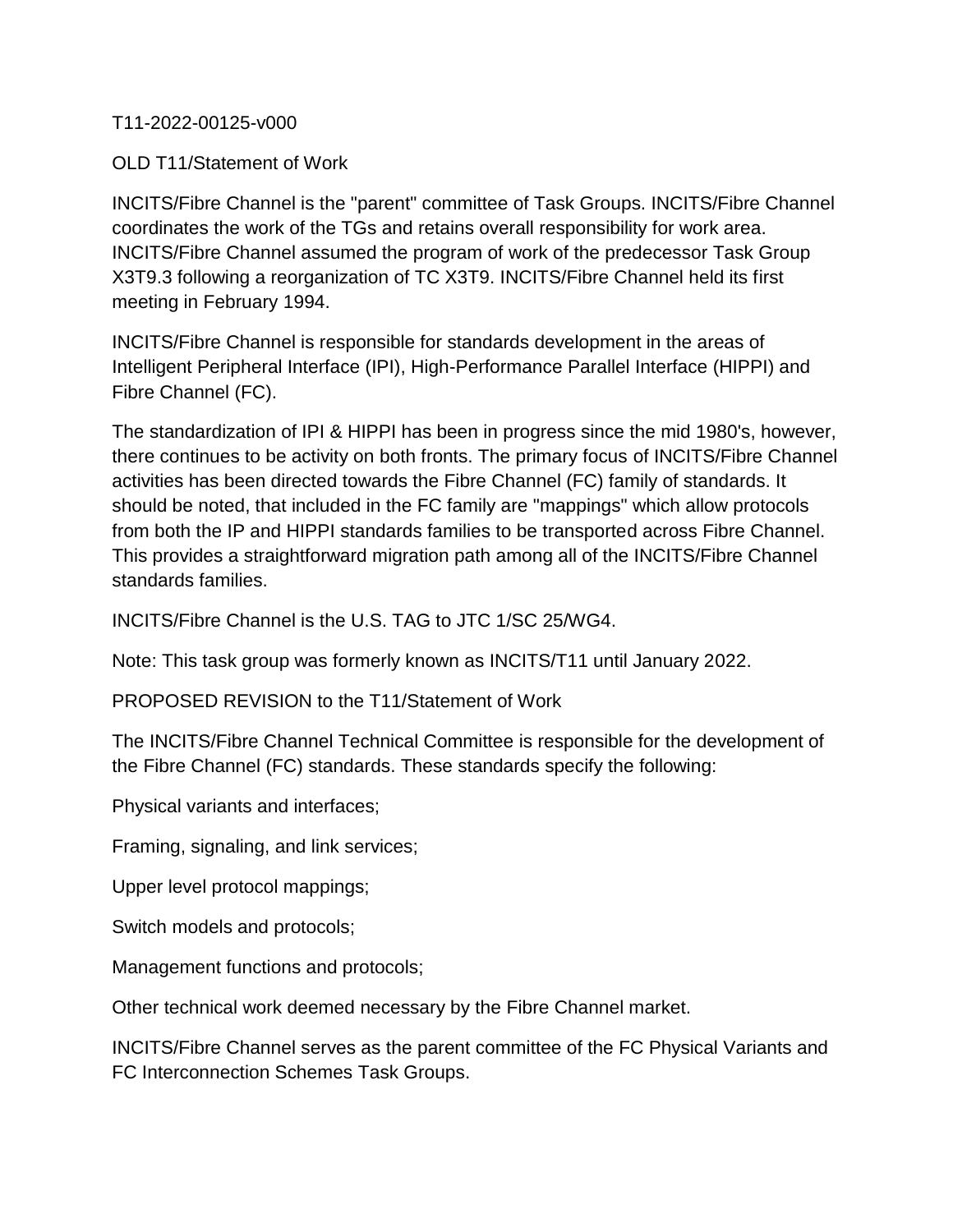## T11-2022-00125-v000

OLD T11/Statement of Work

INCITS/Fibre Channel is the "parent" committee of Task Groups. INCITS/Fibre Channel coordinates the work of the TGs and retains overall responsibility for work area. INCITS/Fibre Channel assumed the program of work of the predecessor Task Group X3T9.3 following a reorganization of TC X3T9. INCITS/Fibre Channel held its first meeting in February 1994.

INCITS/Fibre Channel is responsible for standards development in the areas of Intelligent Peripheral Interface (IPI), High-Performance Parallel Interface (HIPPI) and Fibre Channel (FC).

The standardization of IPI & HIPPI has been in progress since the mid 1980's, however, there continues to be activity on both fronts. The primary focus of INCITS/Fibre Channel activities has been directed towards the Fibre Channel (FC) family of standards. It should be noted, that included in the FC family are "mappings" which allow protocols from both the IP and HIPPI standards families to be transported across Fibre Channel. This provides a straightforward migration path among all of the INCITS/Fibre Channel standards families.

INCITS/Fibre Channel is the U.S. TAG to JTC 1/SC 25/WG4.

Note: This task group was formerly known as INCITS/T11 until January 2022.

PROPOSED REVISION to the T11/Statement of Work

The INCITS/Fibre Channel Technical Committee is responsible for the development of the Fibre Channel (FC) standards. These standards specify the following:

Physical variants and interfaces;

Framing, signaling, and link services;

Upper level protocol mappings;

Switch models and protocols;

Management functions and protocols;

Other technical work deemed necessary by the Fibre Channel market.

INCITS/Fibre Channel serves as the parent committee of the FC Physical Variants and FC Interconnection Schemes Task Groups.